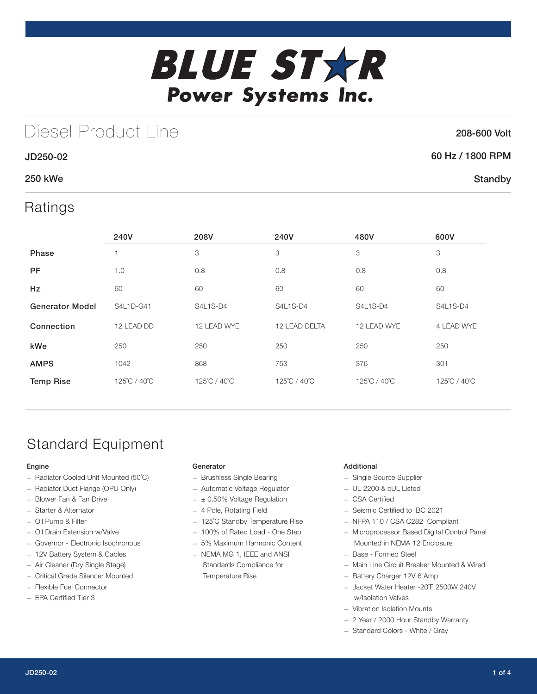

## Diesel Product Line

### 208-600 Volt

**Standby** 

### JD250-02 60 Hz / 1800 RPM

### 250 kWe

## Ratings

|                        | 240V         | 208V         | 240V          | 480V         | 600V         |
|------------------------|--------------|--------------|---------------|--------------|--------------|
| <b>Phase</b>           |              | 3            | 3             | 3            | 3            |
| PF                     | 1.0          | 0.8          | 0.8           | 0.8          | 0.8          |
| Hz                     | 60           | 60           | 60            | 60           | 60           |
| <b>Generator Model</b> | S4L1D-G41    | S4L1S-D4     | S4L1S-D4      | S4L1S-D4     | S4L1S-D4     |
| Connection             | 12 LEAD DD   | 12 LEAD WYE  | 12 LEAD DELTA | 12 LEAD WYE  | 4 LEAD WYE   |
| kWe                    | 250          | 250          | 250           | 250          | 250          |
| <b>AMPS</b>            | 1042         | 868          | 753           | 376          | 301          |
| <b>Temp Rise</b>       | 125°C / 40°C | 125°C / 40°C | 125°C / 40°C  | 125°C / 40°C | 125°C / 40°C |

## Standard Equipment

### Engine

- Radiator Cooled Unit Mounted (50˚C)
- Radiator Duct Flange (OPU Only)
- Blower Fan & Fan Drive
- Starter & Alternator
- Oil Pump & Filter
- Oil Drain Extension w/Valve
- Governor Electronic Isochronous
- 12V Battery System & Cables
- Air Cleaner (Dry Single Stage)
- Critical Grade Silencer Mounted
- Flexible Fuel Connector
- EPA Certified Tier 3

### Generator

- Brushless Single Bearing
- Automatic Voltage Regulator
- $\pm$  0.50% Voltage Regulation
- 4 Pole, Rotating Field
- 125˚C Standby Temperature Rise
- 100% of Rated Load One Step
- 5% Maximum Harmonic Content
- NEMA MG 1, IEEE and ANSI Standards Compliance for Temperature Rise

### Additional

- Single Source Supplier
- UL 2200 & cUL Listed
- CSA Certified
- Seismic Certified to IBC 2021
- NFPA 110 / CSA C282 Compliant
- Microprocessor Based Digital Control Panel Mounted in NEMA 12 Enclosure
- Base Formed Steel
- Main Line Circuit Breaker Mounted & Wired
- Battery Charger 12V 6 Amp
- Jacket Water Heater -20˚F 2500W 240V w/Isolation Valves
- Vibration Isolation Mounts
- 2 Year / 2000 Hour Standby Warranty
- Standard Colors White / Gray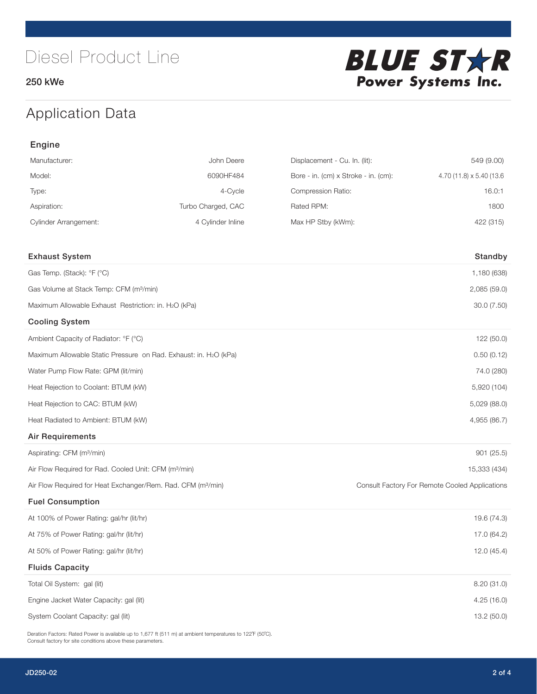250 kWe



## Application Data

| Engine                                                                   |                    |                                      |                                                |
|--------------------------------------------------------------------------|--------------------|--------------------------------------|------------------------------------------------|
| Manufacturer:                                                            | John Deere         | Displacement - Cu. In. (lit):        | 549 (9.00)                                     |
| Model:                                                                   | 6090HF484          | Bore - in. (cm) x Stroke - in. (cm): | 4.70 (11.8) x 5.40 (13.6)                      |
| Type:                                                                    | 4-Cycle            | Compression Ratio:                   | 16.0:1                                         |
| Aspiration:                                                              | Turbo Charged, CAC | Rated RPM:                           | 1800                                           |
| <b>Cylinder Arrangement:</b>                                             | 4 Cylinder Inline  | Max HP Stby (kWm):                   | 422 (315)                                      |
| <b>Exhaust System</b>                                                    |                    |                                      | Standby                                        |
| Gas Temp. (Stack): °F (°C)                                               |                    |                                      | 1,180 (638)                                    |
| Gas Volume at Stack Temp: CFM (m <sup>3</sup> /min)                      |                    |                                      | 2,085 (59.0)                                   |
| Maximum Allowable Exhaust Restriction: in. H2O (kPa)                     |                    |                                      | 30.0 (7.50)                                    |
| <b>Cooling System</b>                                                    |                    |                                      |                                                |
| Ambient Capacity of Radiator: °F (°C)                                    |                    |                                      | 122 (50.0)                                     |
| Maximum Allowable Static Pressure on Rad. Exhaust: in. H2O (kPa)         |                    |                                      | 0.50(0.12)                                     |
| Water Pump Flow Rate: GPM (lit/min)                                      |                    |                                      | 74.0 (280)                                     |
| Heat Rejection to Coolant: BTUM (kW)                                     |                    |                                      | 5,920 (104)                                    |
| Heat Rejection to CAC: BTUM (kW)                                         |                    |                                      | 5,029 (88.0)                                   |
| Heat Radiated to Ambient: BTUM (kW)                                      |                    |                                      | 4,955 (86.7)                                   |
| <b>Air Requirements</b>                                                  |                    |                                      |                                                |
| Aspirating: CFM (m <sup>3</sup> /min)                                    |                    |                                      | 901 (25.5)                                     |
| Air Flow Required for Rad. Cooled Unit: CFM (m <sup>3</sup> /min)        |                    |                                      | 15,333 (434)                                   |
| Air Flow Required for Heat Exchanger/Rem. Rad. CFM (m <sup>3</sup> /min) |                    |                                      | Consult Factory For Remote Cooled Applications |
| <b>Fuel Consumption</b>                                                  |                    |                                      |                                                |
| At 100% of Power Rating: gal/hr (lit/hr)                                 |                    |                                      | 19.6 (74.3)                                    |
| At 75% of Power Rating: gal/hr (lit/hr)                                  |                    |                                      | 17.0 (64.2)                                    |
| At 50% of Power Rating: gal/hr (lit/hr)                                  |                    |                                      | 12.0(45.4)                                     |
| <b>Fluids Capacity</b>                                                   |                    |                                      |                                                |
| Total Oil System: gal (lit)                                              |                    |                                      | 8.20 (31.0)                                    |
| Engine Jacket Water Capacity: gal (lit)                                  |                    |                                      | 4.25 (16.0)                                    |
| System Coolant Capacity: gal (lit)                                       |                    |                                      | 13.2 (50.0)                                    |

Deration Factors: Rated Power is available up to 1,677 ft (511 m) at ambient temperatures to 122°F (50°C). Consult factory for site conditions above these parameters.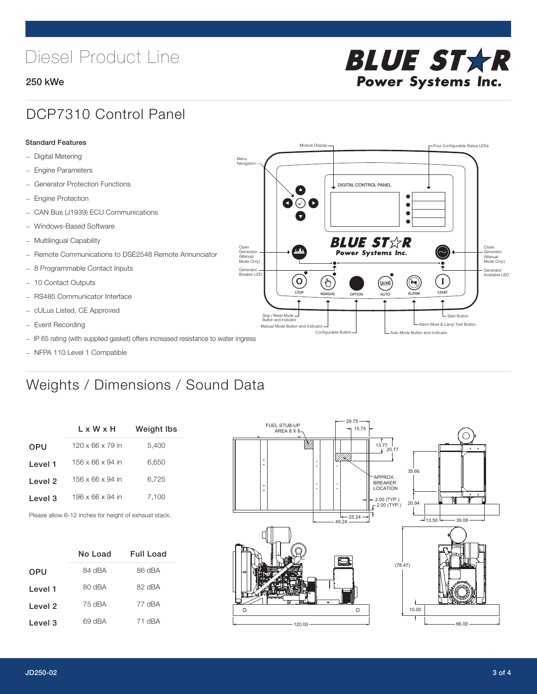# Diesel Product Line

### 250 kWe



## DCP7310 Control Panel

#### Standard Features

- Digital Metering
- Engine Parameters
- Generator Protection Functions
- Engine Protection
- CAN Bus (J1939) ECU Communications
- Windows-Based Software
- Multilingual Capability
- Remote Communications to DSE2548 Remote Annunciator
- 8 Programmable Contact Inputs
- 10 Contact Outputs
- RS485 Communicator Interface
- cULus Listed, CE Approved
- Event Recording
- IP 65 rating (with supplied gasket) offers increased resistance to water ingress
- NFPA 110 Level 1 Compatible

## Weights / Dimensions / Sound Data

|            | L x W x H                    | Weight Ibs |
|------------|------------------------------|------------|
| <b>OPU</b> | $120 \times 66 \times 79$ in | 5.400      |
| Level 1    | 156 x 66 x 94 in             | 6,650      |
| Level 2    | 156 x 66 x 94 in             | 6.725      |
| Level 3    | 196 x 66 x 94 in             | 7.100      |
|            |                              |            |

Please allow 6-12 inches for height of exhaust stack.

|            | No Load     | Full Load |
|------------|-------------|-----------|
| <b>OPU</b> | 84 dBA      | 86 dBA    |
| Level 1    | $RO$ d $BA$ | 82 dBA    |
| Level 2    | 75 dBA      | 77 dBA    |
| Level 3    | 69 dBA      | 71 dBA    |



STOP MANUAL OPTION AUTO ALARM START

[AUTO]

**BLUE STAR** Power Systems Inc.

Manual Mode Button and Indicator Sultane Mute & Lamp Test Button Mute & Lamp Test Button Mute & Lamp Test Button Configurable Button -  $\Box$  Auto Mode Button and Indicator

DIGITAL CONTROL PANEL

Module Display  $\Box$ 

 $\bullet$  $\bullet$  $\bullet$ 

 $\circledcirc$ 

Menu Navigation

Open Generator (Manual Mode Only)

Generator Breaker LED

Stop / Reset Mode Button and Indicator

 $\bullet$  $\bullet$   $\circ$   $\bullet$ 

 $\sigma$ 

՟Պ

Close Generator (Manual Mode Only)

Generator Available LED

- Start Button

 $\blacksquare$